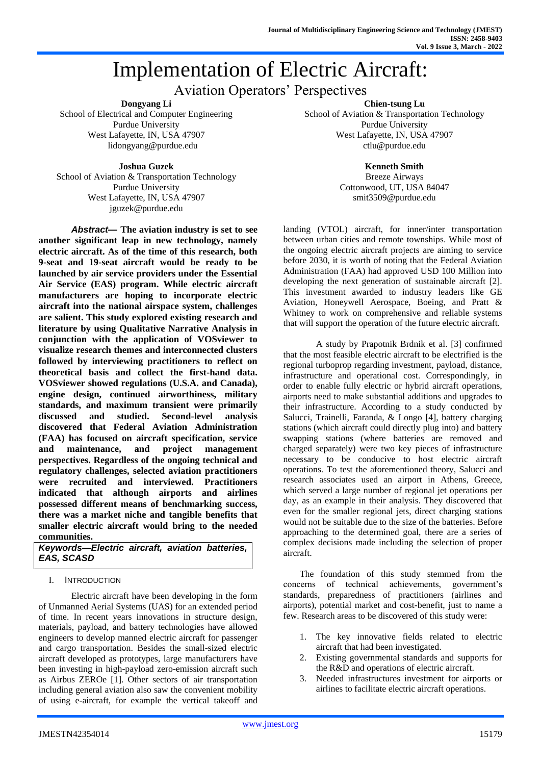# Implementation of Electric Aircraft:

# Aviation Operators' Perspectives

**Dongyang Li**

School of Electrical and Computer Engineering Purdue University West Lafayette, IN, USA 47907 lidongyang@purdue.edu

**Chien-tsung Lu** School of Aviation & Transportation Technology Purdue University West Lafayette, IN, USA 47907 ctlu@purdue.edu

#### **Joshua Guzek**

School of Aviation & Transportation Technology Purdue University West Lafayette, IN, USA 47907 jguzek@purdue.edu

*Abstract***— The aviation industry is set to see another significant leap in new technology, namely electric aircraft. As of the time of this research, both 9-seat and 19-seat aircraft would be ready to be launched by air service providers under the Essential Air Service (EAS) program. While electric aircraft manufacturers are hoping to incorporate electric aircraft into the national airspace system, challenges are salient. This study explored existing research and literature by using Qualitative Narrative Analysis in conjunction with the application of VOSviewer to visualize research themes and interconnected clusters followed by interviewing practitioners to reflect on theoretical basis and collect the first-hand data. VOSviewer showed regulations (U.S.A. and Canada), engine design, continued airworthiness, military standards, and maximum transient were primarily discussed and studied. Second-level analysis discovered that Federal Aviation Administration (FAA) has focused on aircraft specification, service and maintenance, and project management perspectives. Regardless of the ongoing technical and regulatory challenges, selected aviation practitioners were recruited and interviewed. Practitioners indicated that although airports and airlines possessed different means of benchmarking success, there was a market niche and tangible benefits that smaller electric aircraft would bring to the needed communities.**

*Keywords—Electric aircraft, aviation batteries, EAS, SCASD*

# I. INTRODUCTION

Electric aircraft have been developing in the form of Unmanned Aerial Systems (UAS) for an extended period of time. In recent years innovations in structure design, materials, payload, and battery technologies have allowed engineers to develop manned electric aircraft for passenger and cargo transportation. Besides the small-sized electric aircraft developed as prototypes, large manufacturers have been investing in high-payload zero-emission aircraft such as Airbus ZEROe [1]. Other sectors of air transportation including general aviation also saw the convenient mobility of using e-aircraft, for example the vertical takeoff and

# **Kenneth Smith**

Breeze Airways Cottonwood, UT, USA 84047 smit3509@purdue.edu

landing (VTOL) aircraft, for inner/inter transportation between urban cities and remote townships. While most of the ongoing electric aircraft projects are aiming to service before 2030, it is worth of noting that the Federal Aviation Administration (FAA) had approved USD 100 Million into developing the next generation of sustainable aircraft [2]. This investment awarded to industry leaders like GE Aviation, Honeywell Aerospace, Boeing, and Pratt & Whitney to work on comprehensive and reliable systems that will support the operation of the future electric aircraft.

A study by Prapotnik Brdnik et al. [3] confirmed that the most feasible electric aircraft to be electrified is the regional turboprop regarding investment, payload, distance, infrastructure and operational cost. Correspondingly, in order to enable fully electric or hybrid aircraft operations, airports need to make substantial additions and upgrades to their infrastructure. According to a study conducted by Salucci, Trainelli, Faranda, & Longo [4], battery charging stations (which aircraft could directly plug into) and battery swapping stations (where batteries are removed and charged separately) were two key pieces of infrastructure necessary to be conducive to host electric aircraft operations. To test the aforementioned theory, Salucci and research associates used an airport in Athens, Greece, which served a large number of regional jet operations per day, as an example in their analysis. They discovered that even for the smaller regional jets, direct charging stations would not be suitable due to the size of the batteries. Before approaching to the determined goal, there are a series of complex decisions made including the selection of proper aircraft.

The foundation of this study stemmed from the concerns of technical achievements, government's standards, preparedness of practitioners (airlines and airports), potential market and cost-benefit, just to name a few. Research areas to be discovered of this study were:

- 1. The key innovative fields related to electric aircraft that had been investigated.
- 2. Existing governmental standards and supports for the R&D and operations of electric aircraft.
- 3. Needed infrastructures investment for airports or airlines to facilitate electric aircraft operations.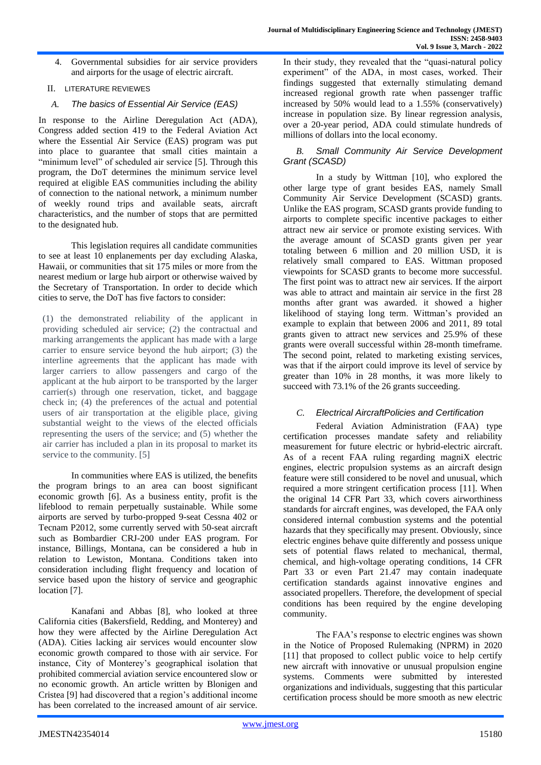4. Governmental subsidies for air service providers and airports for the usage of electric aircraft.

# II. LITERATURE REVIEWES

# *A. The basics of Essential Air Service (EAS)*

In response to the Airline Deregulation Act (ADA), Congress added section 419 to the Federal Aviation Act where the Essential Air Service (EAS) program was put into place to guarantee that small cities maintain a "minimum level" of scheduled air service [5]. Through this program, the DoT determines the minimum service level required at eligible EAS communities including the ability of connection to the national network, a minimum number of weekly round trips and available seats, aircraft characteristics, and the number of stops that are permitted to the designated hub.

This legislation requires all candidate communities to see at least 10 enplanements per day excluding Alaska, Hawaii, or communities that sit 175 miles or more from the nearest medium or large hub airport or otherwise waived by the Secretary of Transportation. In order to decide which cities to serve, the DoT has five factors to consider:

(1) the demonstrated reliability of the applicant in providing scheduled air service; (2) the contractual and marking arrangements the applicant has made with a large carrier to ensure service beyond the hub airport; (3) the interline agreements that the applicant has made with larger carriers to allow passengers and cargo of the applicant at the hub airport to be transported by the larger carrier(s) through one reservation, ticket, and baggage check in; (4) the preferences of the actual and potential users of air transportation at the eligible place, giving substantial weight to the views of the elected officials representing the users of the service; and (5) whether the air carrier has included a plan in its proposal to market its service to the community. [5]

In communities where EAS is utilized, the benefits the program brings to an area can boost significant economic growth [6]. As a business entity, profit is the lifeblood to remain perpetually sustainable. While some airports are served by turbo-propped 9-seat Cessna 402 or Tecnam P2012, some currently served with 50-seat aircraft such as Bombardier CRJ-200 under EAS program. For instance, Billings, Montana, can be considered a hub in relation to Lewiston, Montana. Conditions taken into consideration including flight frequency and location of service based upon the history of service and geographic location [7].

Kanafani and Abbas [8], who looked at three California cities (Bakersfield, Redding, and Monterey) and how they were affected by the Airline Deregulation Act (ADA). Cities lacking air services would encounter slow economic growth compared to those with air service. For instance, City of Monterey's geographical isolation that prohibited commercial aviation service encountered slow or no economic growth. An article written by Blonigen and Cristea [9] had discovered that a region's additional income has been correlated to the increased amount of air service.

In their study, they revealed that the "quasi-natural policy experiment" of the ADA, in most cases, worked. Their findings suggested that externally stimulating demand increased regional growth rate when passenger traffic increased by 50% would lead to a 1.55% (conservatively) increase in population size. By linear regression analysis, over a 20-year period, ADA could stimulate hundreds of millions of dollars into the local economy.

### *B. Small Community Air Service Development Grant (SCASD)*

In a study by Wittman [10], who explored the other large type of grant besides EAS, namely Small Community Air Service Development (SCASD) grants. Unlike the EAS program, SCASD grants provide funding to airports to complete specific incentive packages to either attract new air service or promote existing services. With the average amount of SCASD grants given per year totaling between 6 million and 20 million USD, it is relatively small compared to EAS. Wittman proposed viewpoints for SCASD grants to become more successful. The first point was to attract new air services. If the airport was able to attract and maintain air service in the first 28 months after grant was awarded. it showed a higher likelihood of staying long term. Wittman's provided an example to explain that between 2006 and 2011, 89 total grants given to attract new services and 25.9% of these grants were overall successful within 28-month timeframe. The second point, related to marketing existing services, was that if the airport could improve its level of service by greater than 10% in 28 months, it was more likely to succeed with 73.1% of the 26 grants succeeding.

# *C. Electrical AircraftPolicies and Certification*

Federal Aviation Administration (FAA) type certification processes mandate safety and reliability measurement for future electric or hybrid-electric aircraft. As of a recent FAA ruling regarding magniX electric engines, electric propulsion systems as an aircraft design feature were still considered to be novel and unusual, which required a more stringent certification process [11]. When the original 14 CFR Part 33, which covers airworthiness standards for aircraft engines, was developed, the FAA only considered internal combustion systems and the potential hazards that they specifically may present. Obviously, since electric engines behave quite differently and possess unique sets of potential flaws related to mechanical, thermal, chemical, and high-voltage operating conditions, 14 CFR Part 33 or even Part 21.47 may contain inadequate certification standards against innovative engines and associated propellers. Therefore, the development of special conditions has been required by the engine developing community.

The FAA's response to electric engines was shown in the Notice of Proposed Rulemaking (NPRM) in 2020 [11] that proposed to collect public voice to help certify new aircraft with innovative or unusual propulsion engine systems. Comments were submitted by interested organizations and individuals, suggesting that this particular certification process should be more smooth as new electric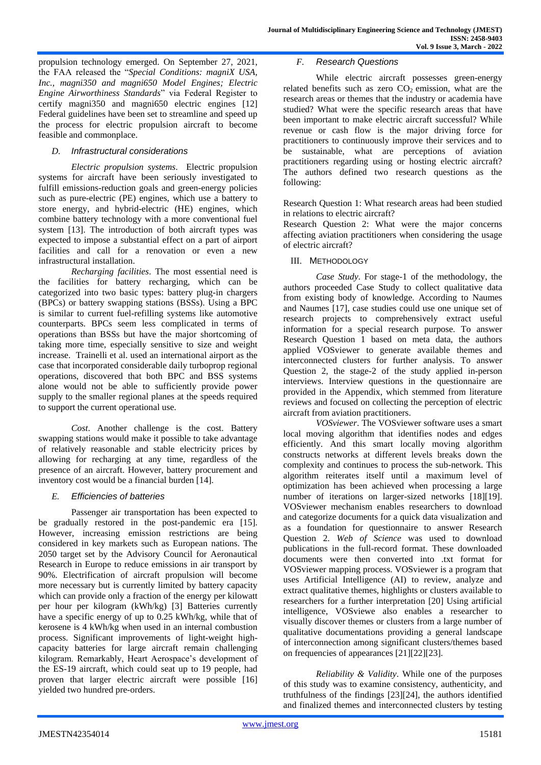propulsion technology emerged. On September 27, 2021, the FAA released the "*Special Conditions: magniX USA, Inc., magni350 and magni650 Model Engines; Electric Engine Airworthiness Standards*" via Federal Register to certify magni350 and magni650 electric engines [12] Federal guidelines have been set to streamline and speed up the process for electric propulsion aircraft to become feasible and commonplace.

#### *D. Infrastructural considerations*

*Electric propulsion systems*. Electric propulsion systems for aircraft have been seriously investigated to fulfill emissions-reduction goals and green-energy policies such as pure-electric (PE) engines, which use a battery to store energy, and hybrid-electric (HE) engines, which combine battery technology with a more conventional fuel system [13]. The introduction of both aircraft types was expected to impose a substantial effect on a part of airport facilities and call for a renovation or even a new infrastructural installation.

*Recharging facilities*. The most essential need is the facilities for battery recharging, which can be categorized into two basic types: battery plug-in chargers (BPCs) or battery swapping stations (BSSs). Using a BPC is similar to current fuel-refilling systems like automotive counterparts. BPCs seem less complicated in terms of operations than BSSs but have the major shortcoming of taking more time, especially sensitive to size and weight increase. Trainelli et al. used an international airport as the case that incorporated considerable daily turboprop regional operations, discovered that both BPC and BSS systems alone would not be able to sufficiently provide power supply to the smaller regional planes at the speeds required to support the current operational use.

*Cost*. Another challenge is the cost. Battery swapping stations would make it possible to take advantage of relatively reasonable and stable electricity prices by allowing for recharging at any time, regardless of the presence of an aircraft. However, battery procurement and inventory cost would be a financial burden [14].

#### *E. Efficiencies of batteries*

Passenger air transportation has been expected to be gradually restored in the post-pandemic era [15]. However, increasing emission restrictions are being considered in key markets such as European nations. The 2050 target set by the Advisory Council for Aeronautical Research in Europe to reduce emissions in air transport by 90%. Electrification of aircraft propulsion will become more necessary but is currently limited by battery capacity which can provide only a fraction of the energy per kilowatt per hour per kilogram (kWh/kg) [3] Batteries currently have a specific energy of up to 0.25 kWh/kg, while that of kerosene is 4 kWh/kg when used in an internal combustion process. Significant improvements of light-weight highcapacity batteries for large aircraft remain challenging kilogram. Remarkably, Heart Aerospace's development of the ES-19 aircraft, which could seat up to 19 people, had proven that larger electric aircraft were possible [16] yielded two hundred pre-orders.

#### *F. Research Questions*

While electric aircraft possesses green-energy related benefits such as zero  $CO<sub>2</sub>$  emission, what are the research areas or themes that the industry or academia have studied? What were the specific research areas that have been important to make electric aircraft successful? While revenue or cash flow is the major driving force for practitioners to continuously improve their services and to be sustainable, what are perceptions of aviation practitioners regarding using or hosting electric aircraft? The authors defined two research questions as the following:

Research Question 1: What research areas had been studied in relations to electric aircraft?

Research Question 2: What were the major concerns affecting aviation practitioners when considering the usage of electric aircraft?

III. METHODOLOGY

*Case Study*. For stage-1 of the methodology, the authors proceeded Case Study to collect qualitative data from existing body of knowledge. According to Naumes and Naumes [17], case studies could use one unique set of research projects to comprehensively extract useful information for a special research purpose. To answer Research Question 1 based on meta data, the authors applied VOSviewer to generate available themes and interconnected clusters for further analysis. To answer Question 2, the stage-2 of the study applied in-person interviews. Interview questions in the questionnaire are provided in the Appendix, which stemmed from literature reviews and focused on collecting the perception of electric aircraft from aviation practitioners.

*VOSviewer*. The VOSviewer software uses a smart local moving algorithm that identifies nodes and edges efficiently. And this smart locally moving algorithm constructs networks at different levels breaks down the complexity and continues to process the sub-network. This algorithm reiterates itself until a maximum level of optimization has been achieved when processing a large number of iterations on larger-sized networks [18][19]. VOSviewer mechanism enables researchers to download and categorize documents for a quick data visualization and as a foundation for questionnaire to answer Research Question 2. *Web of Science* was used to download publications in the full-record format. These downloaded documents were then converted into .txt format for VOSviewer mapping process. VOSviewer is a program that uses Artificial Intelligence (AI) to review, analyze and extract qualitative themes, highlights or clusters available to researchers for a further interpretation [20] Using artificial intelligence, VOSviewe also enables a researcher to visually discover themes or clusters from a large number of qualitative documentations providing a general landscape of interconnection among significant clusters/themes based on frequencies of appearances [21][22][23].

*Reliability & Validity*. While one of the purposes of this study was to examine consistency, authenticity, and truthfulness of the findings [23][24], the authors identified and finalized themes and interconnected clusters by testing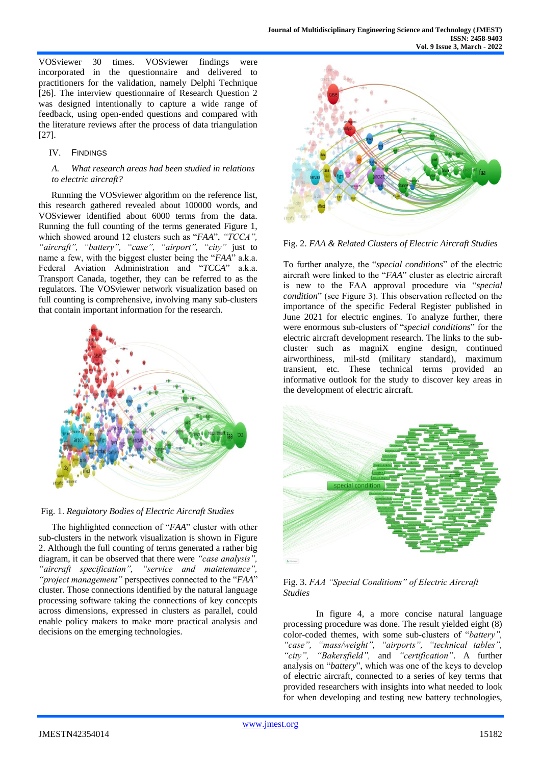VOSviewer 30 times. VOSviewer findings were incorporated in the questionnaire and delivered to practitioners for the validation, namely Delphi Technique [26]. The interview questionnaire of Research Question 2 was designed intentionally to capture a wide range of feedback, using open-ended questions and compared with the literature reviews after the process of data triangulation [27].

#### IV. FINDINGS

#### *A. What research areas had been studied in relations to electric aircraft?*

Running the VOSviewer algorithm on the reference list, this research gathered revealed about 100000 words, and VOSviewer identified about 6000 terms from the data. Running the full counting of the terms generated Figure 1, which showed around 12 clusters such as "*FAA*", *"TCCA", "aircraft", "battery", "case", "airport", "city"* just to name a few, with the biggest cluster being the "*FAA*" a.k.a. Federal Aviation Administration and "*TCCA*" a.k.a. Transport Canada, together, they can be referred to as the regulators. The VOSviewer network visualization based on full counting is comprehensive, involving many sub-clusters that contain important information for the research.





The highlighted connection of "*FAA*" cluster with other sub-clusters in the network visualization is shown in Figure 2. Although the full counting of terms generated a rather big diagram, it can be observed that there were *"case analysis", "aircraft specification", "service and maintenance", "project management"* perspectives connected to the "*FAA*" cluster. Those connections identified by the natural language processing software taking the connections of key concepts across dimensions, expressed in clusters as parallel, could enable policy makers to make more practical analysis and decisions on the emerging technologies.





To further analyze, the "*special conditions*" of the electric aircraft were linked to the "*FAA*" cluster as electric aircraft is new to the FAA approval procedure via "*special condition*" (see Figure 3). This observation reflected on the importance of the specific Federal Register published in June 2021 for electric engines. To analyze further, there were enormous sub-clusters of "*special conditions*" for the electric aircraft development research. The links to the subcluster such as magniX engine design, continued airworthiness, mil-std (military standard), maximum transient, etc. These technical terms provided an informative outlook for the study to discover key areas in the development of electric aircraft.





In figure 4, a more concise natural language processing procedure was done. The result yielded eight (8) color-coded themes, with some sub-clusters of "*battery", "case", "mass/weight", "airports", "technical tables", "city", "Bakersfield",* and *"certification"*. A further analysis on "*battery*", which was one of the keys to develop of electric aircraft, connected to a series of key terms that provided researchers with insights into what needed to look for when developing and testing new battery technologies,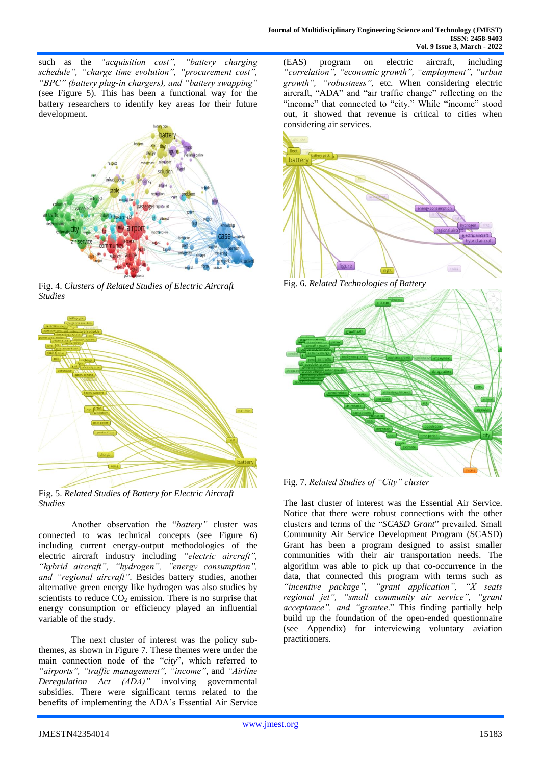such as the *"acquisition cost", "battery charging schedule", "charge time evolution", "procurement cost", "BPC" (battery plug-in chargers), and "battery swapping"*  (see Figure 5). This has been a functional way for the battery researchers to identify key areas for their future development.



Fig. 4. *Clusters of Related Studies of Electric Aircraft Studies*



Fig. 5. *Related Studies of Battery for Electric Aircraft Studies*

Another observation the "*battery"* cluster was connected to was technical concepts (see Figure 6) including current energy-output methodologies of the electric aircraft industry including *"electric aircraft", "hybrid aircraft", "hydrogen", "energy consumption", and "regional aircraft"*. Besides battery studies, another alternative green energy like hydrogen was also studies by scientists to reduce  $CO<sub>2</sub>$  emission. There is no surprise that energy consumption or efficiency played an influential variable of the study.

The next cluster of interest was the policy subthemes, as shown in Figure 7. These themes were under the main connection node of the "*city*", which referred to *"airports", "traffic management", "income"*, and *"Airline Deregulation Act (ADA)"* involving governmental subsidies. There were significant terms related to the benefits of implementing the ADA's Essential Air Service (EAS) program on electric aircraft, including *"correlation", "economic growth", "employment", "urban growth", "robustness",* etc. When considering electric aircraft, "ADA" and "air traffic change" reflecting on the "income" that connected to "city." While "income" stood out, it showed that revenue is critical to cities when considering air services.



Fig. 6. *Related Technologies of Battery*



Fig. 7. *Related Studies of "City" cluster*

The last cluster of interest was the Essential Air Service. Notice that there were robust connections with the other clusters and terms of the "*SCASD Grant*" prevailed. Small Community Air Service Development Program (SCASD) Grant has been a program designed to assist smaller communities with their air transportation needs. The algorithm was able to pick up that co-occurrence in the data, that connected this program with terms such as *"incentive package", "grant application", "X seats regional jet", "small community air service", "grant acceptance", and "grantee*." This finding partially help build up the foundation of the open-ended questionnaire (see Appendix) for interviewing voluntary aviation practitioners.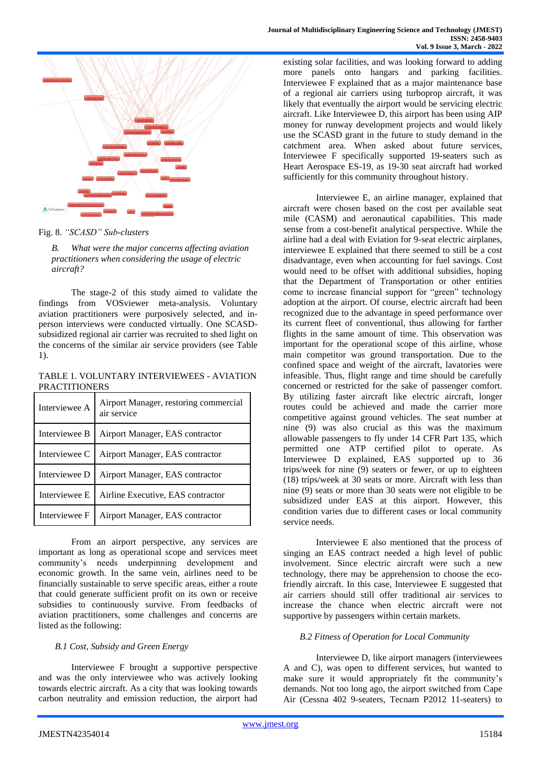

Fig. 8. *"SCASD" Sub-clusters*

*B. What were the major concerns affecting aviation practitioners when considering the usage of electric aircraft?*

The stage-2 of this study aimed to validate the findings from VOSviewer meta-analysis. Voluntary aviation practitioners were purposively selected, and inperson interviews were conducted virtually. One SCASDsubsidized regional air carrier was recruited to shed light on the concerns of the similar air service providers (see Table 1).

TABLE 1. VOLUNTARY INTERVIEWEES - AVIATION **PRACTITIONERS** 

| Interviewee A | Airport Manager, restoring commercial<br>air service |
|---------------|------------------------------------------------------|
| Interviewee B | Airport Manager, EAS contractor                      |
| Interviewee C | Airport Manager, EAS contractor                      |
| Interviewee D | Airport Manager, EAS contractor                      |
| Interviewee E | Airline Executive, EAS contractor                    |
| Interviewee F | Airport Manager, EAS contractor                      |

From an airport perspective, any services are important as long as operational scope and services meet community's needs underpinning development and economic growth. In the same vein, airlines need to be financially sustainable to serve specific areas, either a route that could generate sufficient profit on its own or receive subsidies to continuously survive. From feedbacks of aviation practitioners, some challenges and concerns are listed as the following:

# *B.1 Cost, Subsidy and Green Energy*

Interviewee F brought a supportive perspective and was the only interviewee who was actively looking towards electric aircraft. As a city that was looking towards carbon neutrality and emission reduction, the airport had existing solar facilities, and was looking forward to adding more panels onto hangars and parking facilities. Interviewee F explained that as a major maintenance base of a regional air carriers using turboprop aircraft, it was likely that eventually the airport would be servicing electric aircraft. Like Interviewee D, this airport has been using AIP money for runway development projects and would likely use the SCASD grant in the future to study demand in the catchment area. When asked about future services, Interviewee F specifically supported 19-seaters such as Heart Aerospace ES-19, as 19-30 seat aircraft had worked sufficiently for this community throughout history.

Interviewee E, an airline manager, explained that aircraft were chosen based on the cost per available seat mile (CASM) and aeronautical capabilities. This made sense from a cost-benefit analytical perspective. While the airline had a deal with Eviation for 9-seat electric airplanes, interviewee E explained that there seemed to still be a cost disadvantage, even when accounting for fuel savings. Cost would need to be offset with additional subsidies, hoping that the Department of Transportation or other entities come to increase financial support for "green" technology adoption at the airport. Of course, electric aircraft had been recognized due to the advantage in speed performance over its current fleet of conventional, thus allowing for farther flights in the same amount of time. This observation was important for the operational scope of this airline, whose main competitor was ground transportation. Due to the confined space and weight of the aircraft, lavatories were infeasible. Thus, flight range and time should be carefully concerned or restricted for the sake of passenger comfort. By utilizing faster aircraft like electric aircraft, longer routes could be achieved and made the carrier more competitive against ground vehicles. The seat number at nine (9) was also crucial as this was the maximum allowable passengers to fly under 14 CFR Part 135, which permitted one ATP certified pilot to operate. As Interviewee D explained, EAS supported up to 36 trips/week for nine (9) seaters or fewer, or up to eighteen (18) trips/week at 30 seats or more. Aircraft with less than nine (9) seats or more than 30 seats were not eligible to be subsidized under EAS at this airport. However, this condition varies due to different cases or local community service needs.

Interviewee E also mentioned that the process of singing an EAS contract needed a high level of public involvement. Since electric aircraft were such a new technology, there may be apprehension to choose the ecofriendly aircraft. In this case, Interviewee E suggested that air carriers should still offer traditional air services to increase the chance when electric aircraft were not supportive by passengers within certain markets.

# *B.2 Fitness of Operation for Local Community*

Interviewee D, like airport managers (interviewees A and C), was open to different services, but wanted to make sure it would appropriately fit the community's demands. Not too long ago, the airport switched from Cape Air (Cessna 402 9-seaters, Tecnam P2012 11-seaters) to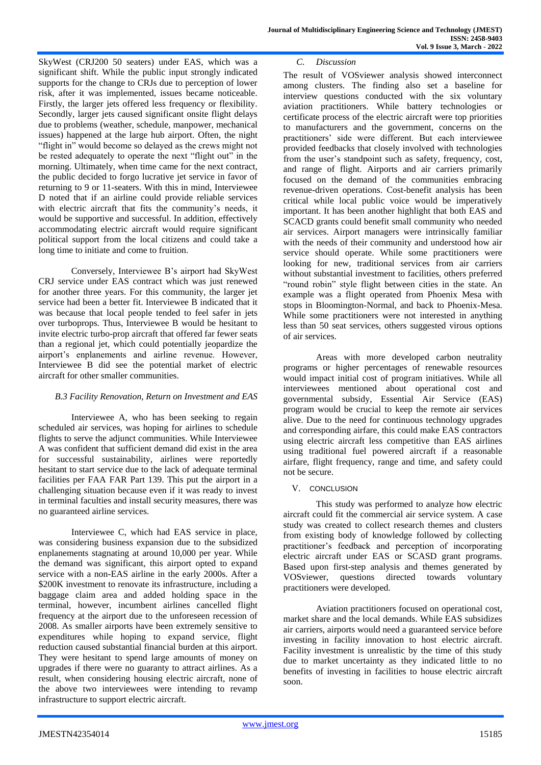SkyWest (CRJ200 50 seaters) under EAS, which was a significant shift. While the public input strongly indicated supports for the change to CRJs due to perception of lower risk, after it was implemented, issues became noticeable. Firstly, the larger jets offered less frequency or flexibility. Secondly, larger jets caused significant onsite flight delays due to problems (weather, schedule, manpower, mechanical issues) happened at the large hub airport. Often, the night "flight in" would become so delayed as the crews might not be rested adequately to operate the next "flight out" in the morning. Ultimately, when time came for the next contract, the public decided to forgo lucrative jet service in favor of returning to 9 or 11-seaters. With this in mind, Interviewee D noted that if an airline could provide reliable services with electric aircraft that fits the community's needs, it would be supportive and successful. In addition, effectively accommodating electric aircraft would require significant political support from the local citizens and could take a long time to initiate and come to fruition.

Conversely, Interviewee B's airport had SkyWest CRJ service under EAS contract which was just renewed for another three years. For this community, the larger jet service had been a better fit. Interviewee B indicated that it was because that local people tended to feel safer in jets over turboprops. Thus, Interviewee B would be hesitant to invite electric turbo-prop aircraft that offered far fewer seats than a regional jet, which could potentially jeopardize the airport's enplanements and airline revenue. However, Interviewee B did see the potential market of electric aircraft for other smaller communities.

#### *B.3 Facility Renovation, Return on Investment and EAS*

Interviewee A, who has been seeking to regain scheduled air services, was hoping for airlines to schedule flights to serve the adjunct communities. While Interviewee A was confident that sufficient demand did exist in the area for successful sustainability, airlines were reportedly hesitant to start service due to the lack of adequate terminal facilities per FAA FAR Part 139. This put the airport in a challenging situation because even if it was ready to invest in terminal faculties and install security measures, there was no guaranteed airline services.

Interviewee C, which had EAS service in place, was considering business expansion due to the subsidized enplanements stagnating at around 10,000 per year. While the demand was significant, this airport opted to expand service with a non-EAS airline in the early 2000s. After a \$200K investment to renovate its infrastructure, including a baggage claim area and added holding space in the terminal, however, incumbent airlines cancelled flight frequency at the airport due to the unforeseen recession of 2008. As smaller airports have been extremely sensitive to expenditures while hoping to expand service, flight reduction caused substantial financial burden at this airport. They were hesitant to spend large amounts of money on upgrades if there were no guaranty to attract airlines. As a result, when considering housing electric aircraft, none of the above two interviewees were intending to revamp infrastructure to support electric aircraft.

#### *C. Discussion*

The result of VOSviewer analysis showed interconnect among clusters. The finding also set a baseline for interview questions conducted with the six voluntary aviation practitioners. While battery technologies or certificate process of the electric aircraft were top priorities to manufacturers and the government, concerns on the practitioners' side were different. But each interviewee provided feedbacks that closely involved with technologies from the user's standpoint such as safety, frequency, cost, and range of flight. Airports and air carriers primarily focused on the demand of the communities embracing revenue-driven operations. Cost-benefit analysis has been critical while local public voice would be imperatively important. It has been another highlight that both EAS and SCACD grants could benefit small community who needed air services. Airport managers were intrinsically familiar with the needs of their community and understood how air service should operate. While some practitioners were looking for new, traditional services from air carriers without substantial investment to facilities, others preferred "round robin" style flight between cities in the state. An example was a flight operated from Phoenix Mesa with stops in Bloomington-Normal, and back to Phoenix-Mesa. While some practitioners were not interested in anything less than 50 seat services, others suggested virous options of air services.

Areas with more developed carbon neutrality programs or higher percentages of renewable resources would impact initial cost of program initiatives. While all interviewees mentioned about operational cost and governmental subsidy, Essential Air Service (EAS) program would be crucial to keep the remote air services alive. Due to the need for continuous technology upgrades and corresponding airfare, this could make EAS contractors using electric aircraft less competitive than EAS airlines using traditional fuel powered aircraft if a reasonable airfare, flight frequency, range and time, and safety could not be secure.

# V. CONCLUSION

This study was performed to analyze how electric aircraft could fit the commercial air service system. A case study was created to collect research themes and clusters from existing body of knowledge followed by collecting practitioner's feedback and perception of incorporating electric aircraft under EAS or SCASD grant programs. Based upon first-step analysis and themes generated by VOSviewer, questions directed towards voluntary practitioners were developed.

Aviation practitioners focused on operational cost, market share and the local demands. While EAS subsidizes air carriers, airports would need a guaranteed service before investing in facility innovation to host electric aircraft. Facility investment is unrealistic by the time of this study due to market uncertainty as they indicated little to no benefits of investing in facilities to house electric aircraft soon.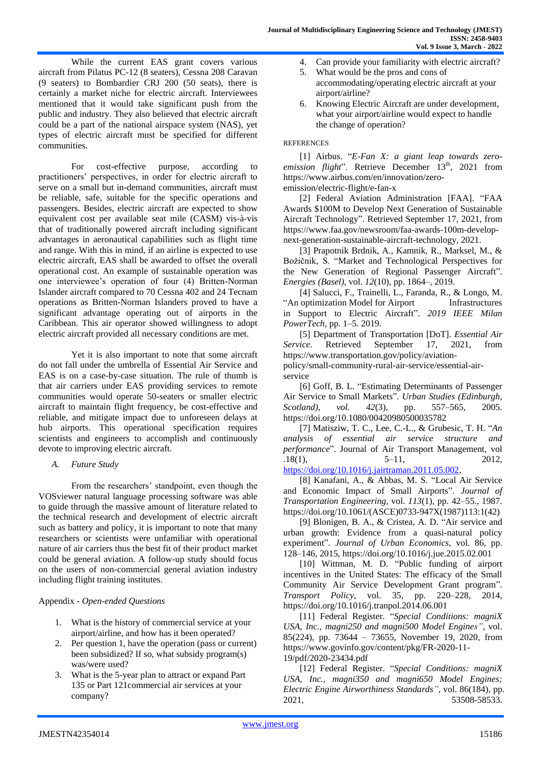While the current EAS grant covers various aircraft from Pilatus PC-12 (8 seaters), Cessna 208 Caravan (9 seaters) to Bombardier CRJ 200 (50 seats), there is certainly a market niche for electric aircraft. Interviewees mentioned that it would take significant push from the public and industry. They also believed that electric aircraft could be a part of the national airspace system (NAS), yet types of electric aircraft must be specified for different communities.

For cost-effective purpose, according to practitioners' perspectives, in order for electric aircraft to serve on a small but in-demand communities, aircraft must be reliable, safe, suitable for the specific operations and passengers. Besides, electric aircraft are expected to show equivalent cost per available seat mile (CASM) vis-à-vis that of traditionally powered aircraft including significant advantages in aeronautical capabilities such as flight time and range. With this in mind, if an airline is expected to use electric aircraft, EAS shall be awarded to offset the overall operational cost. An example of sustainable operation was one interviewee's operation of four (4) Britten-Norman Islander aircraft compared to 70 Cessna 402 and 24 Tecnam operations as Britten-Norman Islanders proved to have a significant advantage operating out of airports in the Caribbean. This air operator showed willingness to adopt electric aircraft provided all necessary conditions are met.

Yet it is also important to note that some aircraft do not fall under the umbrella of Essential Air Service and EAS is on a case-by-case situation. The rule of thumb is that air carriers under EAS providing services to remote communities would operate 50-seaters or smaller electric aircraft to maintain flight frequency, be cost-effective and reliable, and mitigate impact due to unforeseen delays at hub airports. This operational specification requires scientists and engineers to accomplish and continuously devote to improving electric aircraft.

*A. Future Study*

 From the researchers' standpoint, even though the VOSviewer natural language processing software was able to guide through the massive amount of literature related to the technical research and development of electric aircraft such as battery and policy, it is important to note that many researchers or scientists were unfamiliar with operational nature of air carriers thus the best fit of their product market could be general aviation. A follow-up study should focus on the users of non-commercial general aviation industry including flight training institutes.

#### Appendix - *Open-ended Questions*

- 1. What is the history of commercial service at your airport/airline, and how has it been operated?
- 2. Per question 1, have the operation (pass or current) been subsidized? If so, what subsidy program(s) was/were used?
- 3. What is the 5-year plan to attract or expand Part 135 or Part 121commercial air services at your company?
- 4. Can provide your familiarity with electric aircraft?
- 5. What would be the pros and cons of accommodating/operating electric aircraft at your airport/airline?
- 6. Knowing Electric Aircraft are under development, what your airport/airline would expect to handle the change of operation?

#### **REFERENCES**

[1] Airbus. "*E-Fan X: a giant leap towards zero*emission flight". Retrieve December 13<sup>th</sup>, 2021 from https://www.airbus.com/en/innovation/zeroemission/electric-flight/e-fan-x

[2] Federal Aviation Administration [FAA]. "FAA Awards \$100M to Develop Next Generation of Sustainable Aircraft Technology". Retrieved September 17, 2021, from https://www.faa.gov/newsroom/faa-awards-100m-developnext-generation-sustainable-aircraft-technology, 2021.

[3] Prapotnik Brdnik, A., Kamnik, R., Marksel, M., & Božičnik, S. "Market and Technological Perspectives for the New Generation of Regional Passenger Aircraft". *Energies (Basel)*, vol. *12*(10), pp. 1864–, 2019.

[4] Salucci, F., Trainelli, L., Faranda, R., & Longo, M. "An optimization Model for Airport Infrastructures in Support to Electric Aircraft". *2019 IEEE Milan PowerTech*, pp. 1–5. 2019.

[5] Department of Transportation [DoT]. *Essential Air Service*. Retrieved September 17, 2021, from [https://www.transportation.gov/policy/aviation-](https://www.transportation.gov/policy/aviation-policy/small-community-rural-air-service/essential-air-service)

[policy/small-community-rural-air-service/essential-air](https://www.transportation.gov/policy/aviation-policy/small-community-rural-air-service/essential-air-service)[service](https://www.transportation.gov/policy/aviation-policy/small-community-rural-air-service/essential-air-service)

[6] Goff, B. L. "Estimating Determinants of Passenger Air Service to Small Markets". *Urban Studies (Edinburgh, Scotland), vol. 42*(3), pp. 557–565, 2005. https://doi.org/10.1080/00420980500035782

[7] Matisziw, T. C., Lee, C.-L., & Grubesic, T. H. "*An analysis of essential air service structure and performance*". Journal of Air Transport Management, vol  $.18(1),$   $5-11,$   $2012,$ [https://doi.org/10.1016/j.jairtraman.2011.05.002,](https://doi.org/10.1016/j.jairtraman.2011.05.002)

[8] Kanafani, A., & Abbas, M. S. "Local Air Service and Economic Impact of Small Airports". *Journal of Transportation Engineering*, vol. *113*(1), pp. 42–55., 1987. https://doi.org/10.1061/(ASCE)0733-947X(1987)113:1(42)

[9] Blonigen, B. A., & Cristea, A. D. "Air service and urban growth: Evidence from a quasi-natural policy experiment". *Journal of Urban Economics*, vol. 86, pp. 128–146, 2015, https://doi.org/10.1016/j.jue.2015.02.001

[10] Wittman, M. D. "Public funding of airport incentives in the United States: The efficacy of the Small Community Air Service Development Grant program". *Transport Policy*, vol. 35, pp. 220–228, 2014, https://doi.org/10.1016/j.tranpol.2014.06.001

[11] Federal Register. "*Special Conditions: magniX USA, Inc., magni250 and magni500 Model Engines"*, vol. 85(224), pp. 73644 – 73655, November 19, 2020, from https://www.govinfo.gov/content/pkg/FR-2020-11- 19/pdf/2020-23434.pdf

[12] Federal Register. "*Special Conditions: magniX USA, Inc., magni350 and magni650 Model Engines; Electric Engine Airworthiness Standards",* vol. 86(184), pp. 2021, 53508-58533.